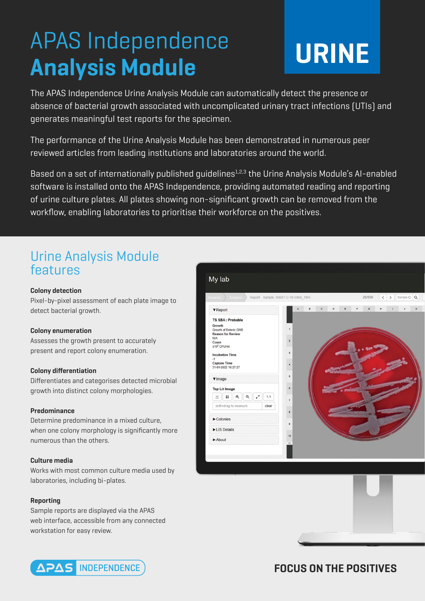## APAS Independence **Analysis Module**

# **URINE**

The APAS Independence Urine Analysis Module can automatically detect the presence or absence of bacterial growth associated with uncomplicated urinary tract infections (UTIs) and generates meaningful test reports for the specimen.

The performance of the Urine Analysis Module has been demonstrated in numerous peer reviewed articles from leading institutions and laboratories around the world.

Based on a set of internationally published quidelines<sup>1,2,3</sup> the Urine Analysis Module's AI-enabled software is installed onto the APAS Independence, providing automated reading and reporting of urine culture plates. All plates showing non-significant growth can be removed from the workflow, enabling laboratories to prioritise their workforce on the positives.

## Urine Analysis Module features

#### **Colony detection**

Pixel-by-pixel assessment of each plate image to detect bacterial growth.

#### **Colony enumeration**

Assesses the growth present to accurately present and report colony enumeration.

#### **Colony differentiation**

Differentiates and categorises detected microbial growth into distinct colony morphologies.

#### **Predominance**

Determine predominance in a mixed culture, when one colony morphology is significantly more numerous than the others.

#### **Culture media**

Works with most common culture media used by laboratories, including bi-plates.

#### **Reporting**

Sample reports are displayed via the APAS web interface, accessible from any connected workstation for easy review.







### **FOCUS ON THE POSITIVES**